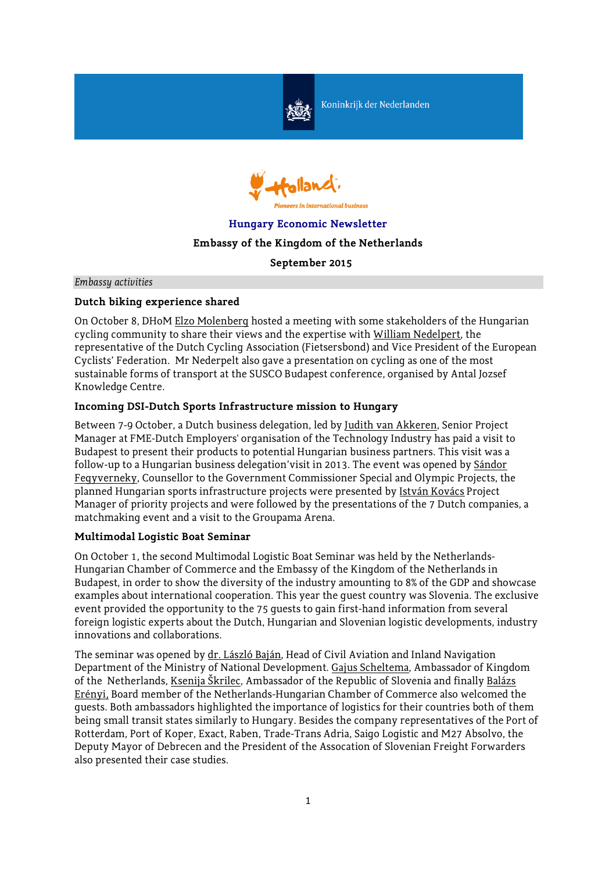

Koninkrijk der Nederlanden



# **Hungary Economic Newsletter**

# **Embassy of the Kingdom of the Netherlands**

**September 2015**

*Embassy activities*

## **Dutch biking experience shared**

On October 8, DHoM Elzo Molenberg hosted a meeting with some stakeholders of the Hungarian cycling community to share their views and the expertise with William Nedelpert, the representative of the Dutch Cycling Association (Fietsersbond) and Vice President of the European Cyclists' Federation. Mr Nederpelt also gave a presentation on cycling as one of the most sustainable forms of transport at the SUSCO Budapest conference, organised by Antal Jozsef Knowledge Centre.

## **Incoming DSI-Dutch Sports Infrastructure mission to Hungary**

Between 7-9 October, a Dutch business delegation, led by Judith van Akkeren, Senior Project Manager at FME-Dutch Employers' organisation of the Technology Industry has paid a visit to Budapest to present their products to potential Hungarian business partners. This visit was a follow-up to a Hungarian business delegation'visit in 2013. The event was opened by Sándor Fegyverneky, Counsellor to the Government Commissioner Special and Olympic Projects, the planned Hungarian sports infrastructure projects were presented by István Kovács Project Manager of priority projects and were followed by the presentations of the 7 Dutch companies, a matchmaking event and a visit to the Groupama Arena.

#### **Multimodal Logistic Boat Seminar**

On October 1, the second Multimodal Logistic Boat Seminar was held by the Netherlands-Hungarian Chamber of Commerce and the Embassy of the Kingdom of the Netherlands in Budapest, in order to show the diversity of the industry amounting to 8% of the GDP and showcase examples about international cooperation. This year the guest country was Slovenia. The exclusive event provided the opportunity to the 75 guests to gain first-hand information from several foreign logistic experts about the Dutch, Hungarian and Slovenian logistic developments, industry innovations and collaborations.

The seminar was opened by dr. László Baján, Head of Civil Aviation and Inland Navigation Department of the Ministry of National Development. Gajus Scheltema, Ambassador of Kingdom of the Netherlands, Ksenija Škrilec, Ambassador of the Republic of Slovenia and finally Balázs Erényi, Board member of the Netherlands-Hungarian Chamber of Commerce also welcomed the guests. Both ambassadors highlighted the importance of logistics for their countries both of them being small transit states similarly to Hungary. Besides the company representatives of the Port of Rotterdam, Port of Koper, Exact, Raben, Trade-Trans Adria, Saigo Logistic and M27 Absolvo, the Deputy Mayor of Debrecen and the President of the Assocation of Slovenian Freight Forwarders also presented their case studies.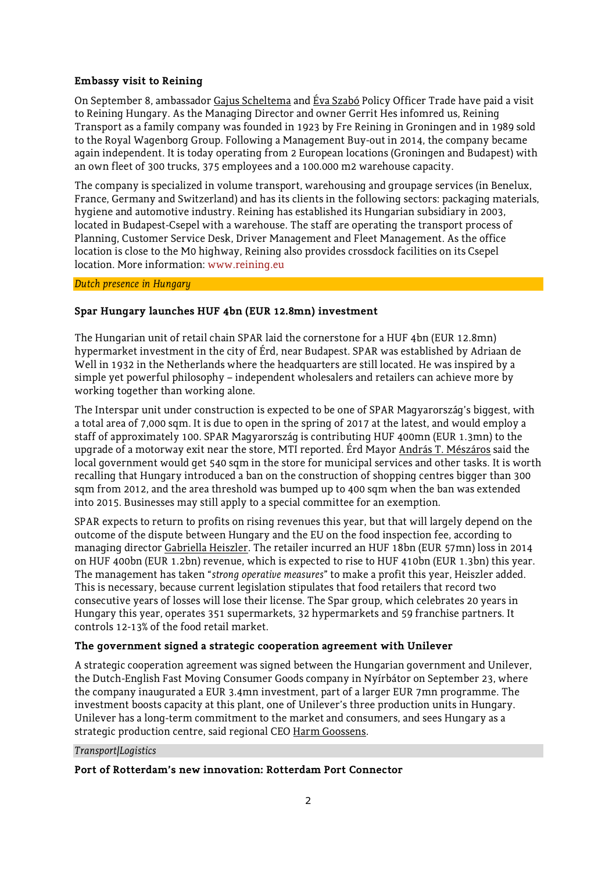# **Embassy visit to Reining**

On September 8, ambassador Gajus Scheltema and Éva Szabó Policy Officer Trade have paid a visit to Reining Hungary. As the Managing Director and owner Gerrit Hes infomred us, Reining Transport as a family company was founded in 1923 by Fre Reining in Groningen and in 1989 sold to the Royal Wagenborg Group. Following a Management Buy-out in 2014, the company became again independent. It is today operating from 2 European locations (Groningen and Budapest) with an own fleet of 300 trucks, 375 employees and a 100.000 m2 warehouse capacity.

The company is specialized in volume transport, warehousing and groupage services (in Benelux, France, Germany and Switzerland) and has its clients in the following sectors: packaging materials, hygiene and automotive industry. Reining has established its Hungarian subsidiary in 2003, located in Budapest-Csepel with a warehouse. The staff are operating the transport process of Planning, Customer Service Desk, Driver Management and Fleet Management. As the office location is close to the M0 highway, Reining also provides crossdock facilities on its Csepel location. More information: [www.reining.eu](http://www.reining.eu/)

# *Dutch presence in Hungary*

# **Spar Hungary launches HUF 4bn (EUR 12.8mn) investment**

The Hungarian unit of retail chain SPAR laid the cornerstone for a HUF 4bn (EUR 12.8mn) hypermarket investment in the city of Érd, near Budapest. SPAR was established by Adriaan de Well in 1932 in the Netherlands where the headquarters are still located. He was inspired by a simple yet powerful philosophy – independent wholesalers and retailers can achieve more by working together than working alone.

The Interspar unit under construction is expected to be one of SPAR Magyarország's biggest, with a total area of 7,000 sqm. It is due to open in the spring of 2017 at the latest, and would employ a staff of approximately 100. SPAR Magyarország is contributing HUF 400mn (EUR 1.3mn) to the upgrade of a motorway exit near the store, MTI reported. Érd Mayor András T. Mészáros said the local government would get 540 sqm in the store for municipal services and other tasks. It is worth recalling that Hungary introduced a ban on the construction of shopping centres bigger than 300 sqm from 2012, and the area threshold was bumped up to 400 sqm when the ban was extended into 2015. Businesses may still apply to a special committee for an exemption.

SPAR expects to return to profits on rising revenues this year, but that will largely depend on the outcome of the dispute between Hungary and the EU on the food inspection fee, according to managing director Gabriella Heiszler. The retailer incurred an HUF 18bn (EUR 57mn) loss in 2014 on HUF 400bn (EUR 1.2bn) revenue, which is expected to rise to HUF 410bn (EUR 1.3bn) this year. The management has taken "*strong operative measures*" to make a profit this year, Heiszler added. This is necessary, because current legislation stipulates that food retailers that record two consecutive years of losses will lose their license. The Spar group, which celebrates 20 years in Hungary this year, operates 351 supermarkets, 32 hypermarkets and 59 franchise partners. It controls 12-13% of the food retail market.

## **The government signed a strategic cooperation agreement with Unilever**

A strategic cooperation agreement was signed between the Hungarian government and Unilever, the Dutch-English Fast Moving Consumer Goods company in Nyírbátor on September 23, where the company inaugurated a EUR 3.4mn investment, part of a larger EUR 7mn programme. The investment boosts capacity at this plant, one of Unilever's three production units in Hungary. Unilever has a long-term commitment to the market and consumers, and sees Hungary as a strategic production centre, said regional CEO Harm Goossens.

## *Transport/Logistics*

#### **Port of Rotterdam's new innovation: Rotterdam Port Connector**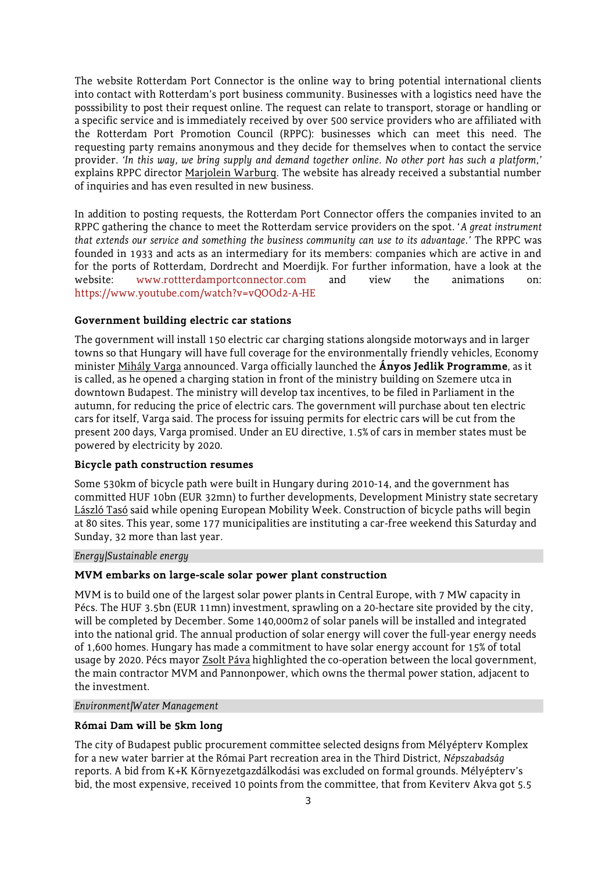The website Rotterdam Port Connector is the online way to bring potential international clients into contact with Rotterdam's port business community. Businesses with a logistics need have the posssibility to post their request online. The request can relate to transport, storage or handling or a specific service and is immediately received by over 500 service providers who are affiliated with the Rotterdam Port Promotion Council (RPPC): businesses which can meet this need. The requesting party remains anonymous and they decide for themselves when to contact the service provider. *'In this way, we bring supply and demand together online. No other port has such a platform,'* explains RPPC director Marjolein Warburg. The website has already received a substantial number of inquiries and has even resulted in new business.

In addition to posting requests, the Rotterdam Port Connector offers the companies invited to an RPPC gathering the chance to meet the Rotterdam service providers on the spot. '*A great instrument that extends our service and something the business community can use to its advantage.'* The RPPC was founded in 1933 and acts as an intermediary for its members: companies which are active in and for the ports of Rotterdam, Dordrecht and Moerdijk. For further information, have a look at the website: [www.rottterdamportconnector.com](http://www.rottterdamportconnector.com/) and view the animations on: <https://www.youtube.com/watch?v=vQOOd2-A-HE>

#### **Government building electric car stations**

The government will install 150 electric car charging stations alongside motorways and in larger towns so that Hungary will have full coverage for the environmentally friendly vehicles, Economy minister Mihály Varga announced. Varga officially launched the **Ányos Jedlik Programme**, as it is called, as he opened a charging station in front of the ministry building on Szemere utca in downtown Budapest. The ministry will develop tax incentives, to be filed in Parliament in the autumn, for reducing the price of electric cars. The government will purchase about ten electric cars for itself, Varga said. The process for issuing permits for electric cars will be cut from the present 200 days, Varga promised. Under an EU directive, 1.5% of cars in member states must be powered by electricity by 2020.

#### **Bicycle path construction resumes**

Some 530km of bicycle path were built in Hungary during 2010-14, and the government has committed HUF 10bn (EUR 32mn) to further developments, Development Ministry state secretary László Tasó said while opening European Mobility Week. Construction of bicycle paths will begin at 80 sites. This year, some 177 municipalities are instituting a car-free weekend this Saturday and Sunday, 32 more than last year.

#### *Energy/Sustainable energy*

#### **MVM embarks on large-scale solar power plant construction**

MVM is to build one of the largest solar power plants in Central Europe, with 7 MW capacity in Pécs. The HUF 3.5bn (EUR 11mn) investment, sprawling on a 20-hectare site provided by the city, will be completed by December. Some 140,000m2 of solar panels will be installed and integrated into the national grid. The annual production of solar energy will cover the full-year energy needs of 1,600 homes. Hungary has made a commitment to have solar energy account for 15% of total usage by 2020. Pécs mayor Zsolt Páva highlighted the co-operation between the local government, the main contractor MVM and Pannonpower, which owns the thermal power station, adjacent to the investment.

#### *Environment/Water Management*

## **Római Dam will be 5km long**

The city of Budapest public procurement committee selected designs from Mélyépterv Komplex for a new water barrier at the Római Part recreation area in the Third District, *Népszabadság* reports. A bid from K+K Környezetgazdálkodási was excluded on formal grounds. Mélyépterv's bid, the most expensive, received 10 points from the committee, that from Keviterv Akva got 5.5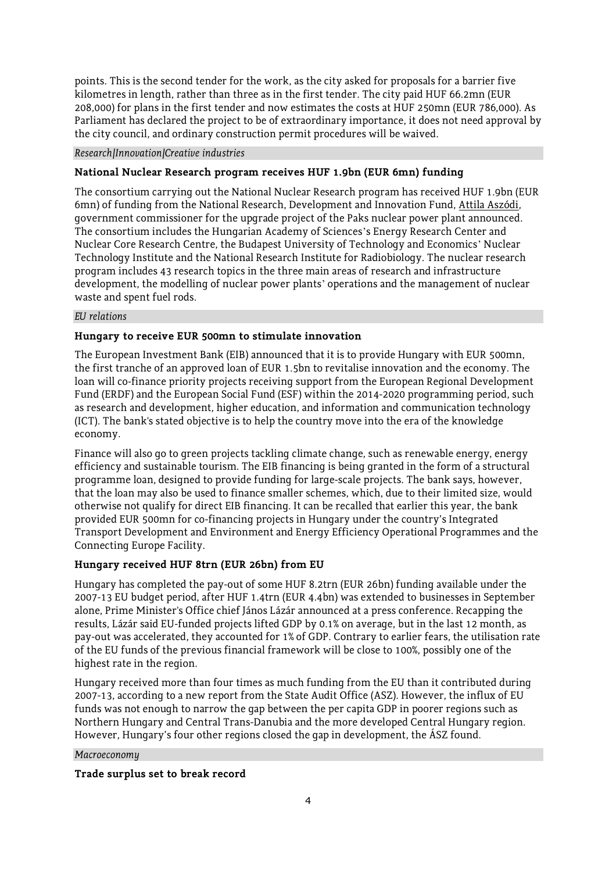points. This is the second tender for the work, as the city asked for proposals for a barrier five kilometres in length, rather than three as in the first tender. The city paid HUF 66.2mn (EUR 208,000) for plans in the first tender and now estimates the costs at HUF 250mn (EUR 786,000). As Parliament has declared the project to be of extraordinary importance, it does not need approval by the city council, and ordinary construction permit procedures will be waived.

#### *Research/Innovation/Creative industries*

## **National Nuclear Research program receives HUF 1.9bn (EUR 6mn) funding**

The consortium carrying out the National Nuclear Research program has received HUF 1.9bn (EUR 6mn) of funding from the National Research, Development and Innovation Fund, Attila Aszódi, government commissioner for the upgrade project of the Paks nuclear power plant announced. The consortium includes the Hungarian Academy of Sciences's Energy Research Center and Nuclear Core Research Centre, the Budapest University of Technology and Economics' Nuclear Technology Institute and the National Research Institute for Radiobiology. The nuclear research program includes 43 research topics in the three main areas of research and infrastructure development, the modelling of nuclear power plants' operations and the management of nuclear waste and spent fuel rods.

#### *EU relations*

## **Hungary to receive EUR 500mn to stimulate innovation**

The European Investment Bank (EIB) announced that it is to provide Hungary with EUR 500mn, the first tranche of an approved loan of EUR 1.5bn to revitalise innovation and the economy. The loan will co-finance priority projects receiving support from the European Regional Development Fund (ERDF) and the European Social Fund (ESF) within the 2014-2020 programming period, such as research and development, higher education, and information and communication technology (ICT). The bank's stated objective is to help the country move into the era of the knowledge economy.

Finance will also go to green projects tackling climate change, such as renewable energy, energy efficiency and sustainable tourism. The EIB financing is being granted in the form of a structural programme loan, designed to provide funding for large-scale projects. The bank says, however, that the loan may also be used to finance smaller schemes, which, due to their limited size, would otherwise not qualify for direct EIB financing. It can be recalled that earlier this year, the bank provided EUR 500mn for co-financing projects in Hungary under the country's Integrated Transport Development and Environment and Energy Efficiency Operational Programmes and the Connecting Europe Facility.

## **Hungary received HUF 8trn (EUR 26bn) from EU**

Hungary has completed the pay-out of some HUF 8.2trn (EUR 26bn) funding available under the 2007-13 EU budget period, after HUF 1.4trn (EUR 4.4bn) was extended to businesses in September alone, Prime Minister's Office chief János Lázár announced at a press conference. Recapping the results, Lázár said EU-funded projects lifted GDP by 0.1% on average, but in the last 12 month, as pay-out was accelerated, they accounted for 1% of GDP. Contrary to earlier fears, the utilisation rate of the EU funds of the previous financial framework will be close to 100%, possibly one of the highest rate in the region.

Hungary received more than four times as much funding from the EU than it contributed during 2007-13, according to a new report from the State Audit Office (ASZ). However, the influx of EU funds was not enough to narrow the gap between the per capita GDP in poorer regions such as Northern Hungary and Central Trans-Danubia and the more developed Central Hungary region. However, Hungary's four other regions closed the gap in development, the ÁSZ found.

#### *Macroeconomy*

## **Trade surplus set to break record**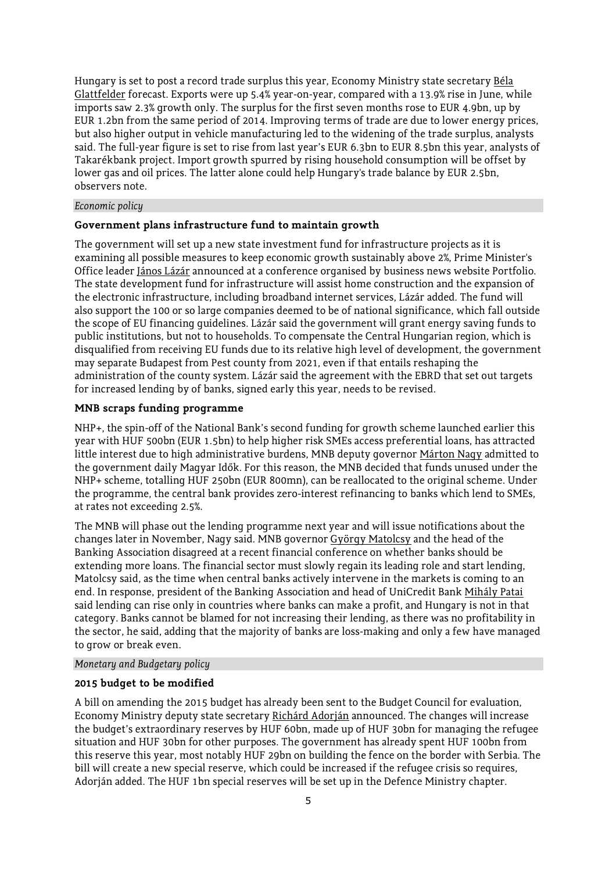Hungary is set to post a record trade surplus this year, Economy Ministry state secretary Béla Glattfelder forecast. Exports were up 5.4% year-on-year, compared with a 13.9% rise in June, while imports saw 2.3% growth only. The surplus for the first seven months rose to EUR 4.9bn, up by EUR 1.2bn from the same period of 2014. Improving terms of trade are due to lower energy prices, but also higher output in vehicle manufacturing led to the widening of the trade surplus, analysts said. The full-year figure is set to rise from last year's EUR 6.3bn to EUR 8.5bn this year, analysts of Takarékbank project. Import growth spurred by rising household consumption will be offset by lower gas and oil prices. The latter alone could help Hungary's trade balance by EUR 2.5bn, observers note.

#### *Economic policy*

#### **Government plans infrastructure fund to maintain growth**

The government will set up a new state investment fund for infrastructure projects as it is examining all possible measures to keep economic growth sustainably above 2%, Prime Minister's Office leader János Lázár announced at a conference organised by business news website Portfolio. The state development fund for infrastructure will assist home construction and the expansion of the electronic infrastructure, including broadband internet services, Lázár added. The fund will also support the 100 or so large companies deemed to be of national significance, which fall outside the scope of EU financing guidelines. Lázár said the government will grant energy saving funds to public institutions, but not to households. To compensate the Central Hungarian region, which is disqualified from receiving EU funds due to its relative high level of development, the government may separate Budapest from Pest county from 2021, even if that entails reshaping the administration of the county system. Lázár said the agreement with the EBRD that set out targets for increased lending by of banks, signed early this year, needs to be revised.

## **MNB scraps funding programme**

NHP+, the spin-off of the National Bank's second funding for growth scheme launched earlier this year with HUF 500bn (EUR 1.5bn) to help higher risk SMEs access preferential loans, has attracted little interest due to high administrative burdens, MNB deputy governor Márton Nagy admitted to the government daily Magyar Idők. For this reason, the MNB decided that funds unused under the NHP+ scheme, totalling HUF 250bn (EUR 800mn), can be reallocated to the original scheme. Under the programme, the central bank provides zero-interest refinancing to banks which lend to SMEs, at rates not exceeding 2.5%.

The MNB will phase out the lending programme next year and will issue notifications about the changes later in November, Nagy said. MNB governor György Matolcsy and the head of the Banking Association disagreed at a recent financial conference on whether banks should be extending more loans. The financial sector must slowly regain its leading role and start lending, Matolcsy said, as the time when central banks actively intervene in the markets is coming to an end. In response, president of the Banking Association and head of UniCredit Bank Mihály Patai said lending can rise only in countries where banks can make a profit, and Hungary is not in that category. Banks cannot be blamed for not increasing their lending, as there was no profitability in the sector, he said, adding that the majority of banks are loss-making and only a few have managed to grow or break even.

#### *Monetary and Budgetary policy*

#### **2015 budget to be modified**

A bill on amending the 2015 budget has already been sent to the Budget Council for evaluation, Economy Ministry deputy state secretary Richárd Adorján announced. The changes will increase the budget's extraordinary reserves by HUF 60bn, made up of HUF 30bn for managing the refugee situation and HUF 30bn for other purposes. The government has already spent HUF 100bn from this reserve this year, most notably HUF 29bn on building the fence on the border with Serbia. The bill will create a new special reserve, which could be increased if the refugee crisis so requires, Adorján added. The HUF 1bn special reserves will be set up in the Defence Ministry chapter.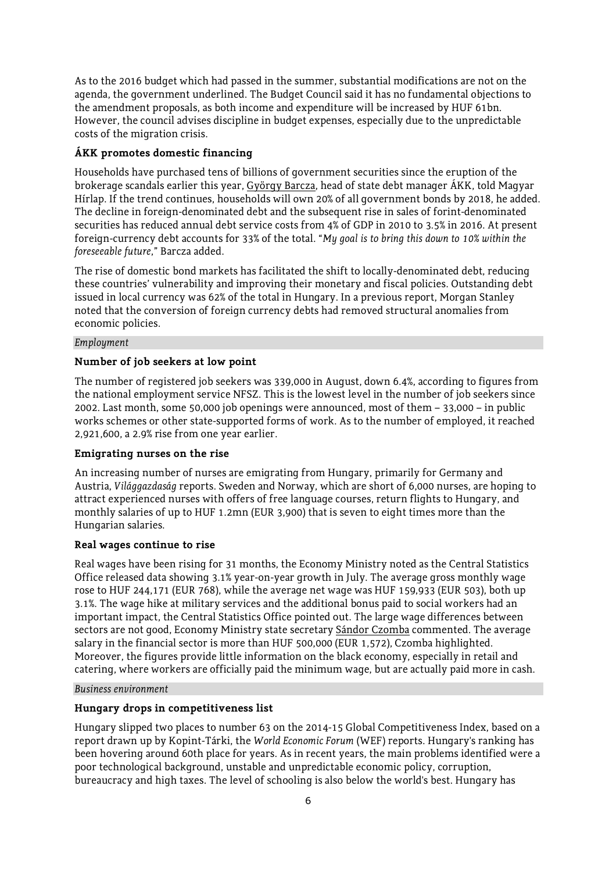As to the 2016 budget which had passed in the summer, substantial modifications are not on the agenda, the government underlined. The Budget Council said it has no fundamental objections to the amendment proposals, as both income and expenditure will be increased by HUF 61bn. However, the council advises discipline in budget expenses, especially due to the unpredictable costs of the migration crisis.

# **ÁKK promotes domestic financing**

Households have purchased tens of billions of government securities since the eruption of the brokerage scandals earlier this year, György Barcza, head of state debt manager ÁKK, told Magyar Hírlap. If the trend continues, households will own 20% of all government bonds by 2018, he added. The decline in foreign-denominated debt and the subsequent rise in sales of forint-denominated securities has reduced annual debt service costs from 4% of GDP in 2010 to 3.5% in 2016. At present foreign-currency debt accounts for 33% of the total. "*My goal is to bring this down to 10% within the foreseeable future*," Barcza added.

The rise of domestic bond markets has facilitated the shift to locally-denominated debt, reducing these countries' vulnerability and improving their monetary and fiscal policies. Outstanding debt issued in local currency was 62% of the total in Hungary. In a previous report, Morgan Stanley noted that the conversion of foreign currency debts had removed structural anomalies from economic policies.

## *Employment*

# **Number of job seekers at low point**

The number of registered job seekers was 339,000 in August, down 6.4%, according to figures from the national employment service NFSZ. This is the lowest level in the number of job seekers since 2002. Last month, some 50,000 job openings were announced, most of them – 33,000 – in public works schemes or other state-supported forms of work. As to the number of employed, it reached 2,921,600, a 2.9% rise from one year earlier.

## **Emigrating nurses on the rise**

An increasing number of nurses are emigrating from Hungary, primarily for Germany and Austria, *Világgazdaság* reports. Sweden and Norway, which are short of 6,000 nurses, are hoping to attract experienced nurses with offers of free language courses, return flights to Hungary, and monthly salaries of up to HUF 1.2mn (EUR 3,900) that is seven to eight times more than the Hungarian salaries.

# **Real wages continue to rise**

Real wages have been rising for 31 months, the Economy Ministry noted as the Central Statistics Office released data showing 3.1% year-on-year growth in July. The average gross monthly wage rose to HUF 244,171 (EUR 768), while the average net wage was HUF 159,933 (EUR 503), both up 3.1%. The wage hike at military services and the additional bonus paid to social workers had an important impact, the Central Statistics Office pointed out. The large wage differences between sectors are not good, Economy Ministry state secretary Sándor Czomba commented. The average salary in the financial sector is more than HUF 500,000 (EUR 1,572), Czomba highlighted. Moreover, the figures provide little information on the black economy, especially in retail and catering, where workers are officially paid the minimum wage, but are actually paid more in cash.

## *Business environment*

# **Hungary drops in competitiveness list**

Hungary slipped two places to number 63 on the 2014-15 Global Competitiveness Index, based on a report drawn up by Kopint-Tárki, the *World Economic Forum* (WEF) reports. Hungary's ranking has been hovering around 60th place for years. As in recent years, the main problems identified were a poor technological background, unstable and unpredictable economic policy, corruption, bureaucracy and high taxes. The level of schooling is also below the world's best. Hungary has